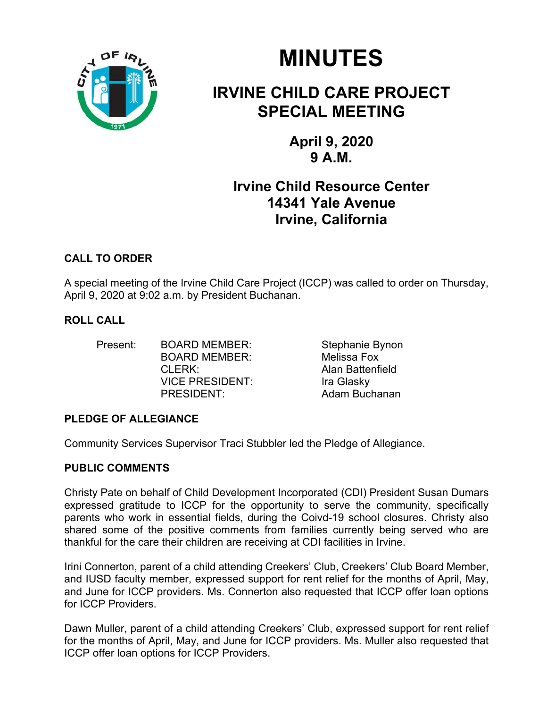

# **MINUTES**

## **IRVINE CHILD CARE PROJECT SPECIAL MEETING**

**April 9, 2020 9 A.M.** 

### **Irvine Child Resource Center 14341 Yale Avenue Irvine, California**

#### **CALL TO ORDER**

A special meeting of the Irvine Child Care Project (ICCP) was called to order on Thursday, April 9, 2020 at 9:02 a.m. by President Buchanan.

#### **ROLL CALL**

Present: BOARD MEMBER: Stephanie Bynon BOARD MEMBER: Melissa Fox CLERK: Alan Battenfield VICE PRESIDENT:Ira Glasky PRESIDENT: Adam Buchanan

#### **PLEDGE OF ALLEGIANCE**

Community Services Supervisor Traci Stubbler led the Pledge of Allegiance.

#### **PUBLIC COMMENTS**

Christy Pate on behalf of Child Development Incorporated (CDI) President Susan Dumars expressed gratitude to ICCP for the opportunity to serve the community, specifically parents who work in essential fields, during the Coivd-19 school closures. Christy also shared some of the positive comments from families currently being served who are thankful for the care their children are receiving at CDI facilities in Irvine.

Irini Connerton, parent of a child attending Creekers' Club, Creekers' Club Board Member, and IUSD faculty member, expressed support for rent relief for the months of April, May, and June for ICCP providers. Ms. Connerton also requested that ICCP offer loan options for ICCP Providers.

Dawn Muller, parent of a child attending Creekers' Club, expressed support for rent relief for the months of April, May, and June for ICCP providers. Ms. Muller also requested that ICCP offer loan options for ICCP Providers.